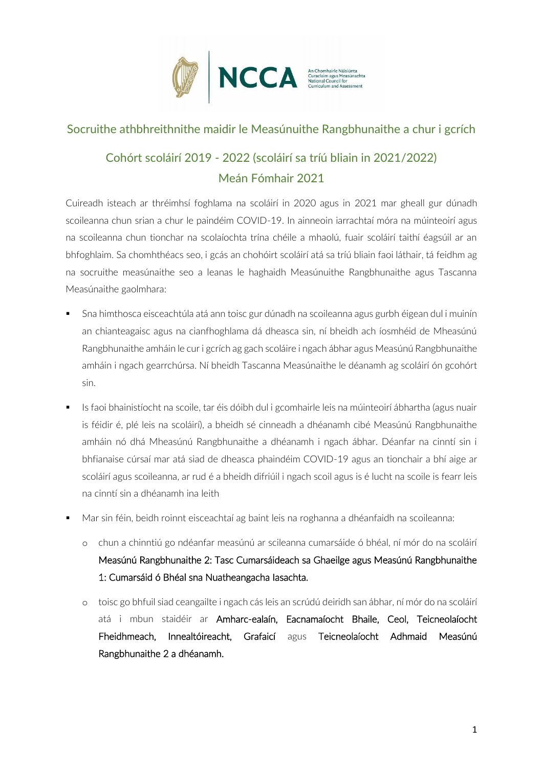

### Socruithe athbhreithnithe maidir le Measúnuithe Rangbhunaithe a chur i gcrích

# Cohórt scoláirí 2019 - 2022 (scoláirí sa tríú bliain in 2021/2022) Meán Fómhair 2021

Cuireadh isteach ar thréimhsí foghlama na scoláirí in 2020 agus in 2021 mar gheall gur dúnadh scoileanna chun srian a chur le paindéim COVID-19. In ainneoin iarrachtaí móra na múinteoirí agus na scoileanna chun tionchar na scolaíochta trína chéile a mhaolú, fuair scoláirí taithí éagsúil ar an bhfoghlaim. Sa chomhthéacs seo, i gcás an chohóirt scoláirí atá sa tríú bliain faoi láthair, tá feidhm ag na socruithe measúnaithe seo a leanas le haghaidh Measúnuithe Rangbhunaithe agus Tascanna Measúnaithe gaolmhara:

- Sna himthosca eisceachtúla atá ann toisc gur dúnadh na scoileanna agus gurbh éigean dul i muinín an chianteagaisc agus na cianfhoghlama dá dheasca sin, ní bheidh ach íosmhéid de Mheasúnú Rangbhunaithe amháin le cur i gcrích ag gach scoláire i ngach ábhar agus Measúnú Rangbhunaithe amháin i ngach gearrchúrsa. Ní bheidh Tascanna Measúnaithe le déanamh ag scoláirí ón gcohórt sin.
- Is faoi bhainistíocht na scoile, tar éis dóibh dul i gcomhairle leis na múinteoirí ábhartha (agus nuair is féidir é, plé leis na scoláirí), a bheidh sé cinneadh a dhéanamh cibé Measúnú Rangbhunaithe amháin nó dhá Mheasúnú Rangbhunaithe a dhéanamh i ngach ábhar. Déanfar na cinntí sin i bhfianaise cúrsaí mar atá siad de dheasca phaindéim COVID-19 agus an tionchair a bhí aige ar scoláirí agus scoileanna, ar rud é a bheidh difriúil i ngach scoil agus is é lucht na scoile is fearr leis na cinntí sin a dhéanamh ina leith
- Mar sin féin, beidh roinnt eisceachtaí ag baint leis na roghanna a dhéanfaidh na scoileanna:
	- o chun a chinntiú go ndéanfar measúnú ar scileanna cumarsáide ó bhéal, ní mór do na scoláirí Measúnú Rangbhunaithe 2: Tasc Cumarsáideach sa Ghaeilge agus Measúnú Rangbhunaithe 1: Cumarsáid ó Bhéal sna Nuatheangacha Iasachta.
	- o toisc go bhfuil siad ceangailte i ngach cás leis an scrúdú deiridh san ábhar, ní mór do na scoláirí atá i mbun staidéir ar Amharc-ealaín, Eacnamaíocht Bhaile, Ceol, Teicneolaíocht Fheidhmeach, Innealtóireacht, Grafaicí agus Teicneolaíocht Adhmaid Measúnú Rangbhunaithe 2 a dhéanamh.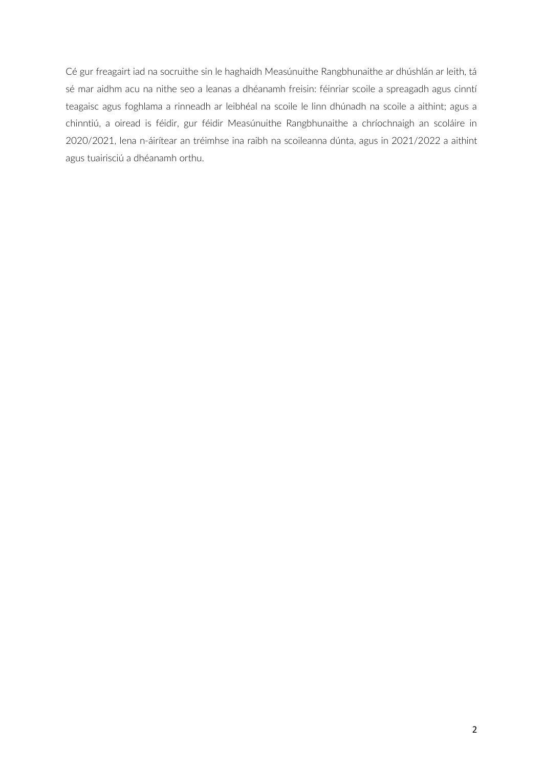Cé gur freagairt iad na socruithe sin le haghaidh Measúnuithe Rangbhunaithe ar dhúshlán ar leith, tá sé mar aidhm acu na nithe seo a leanas a dhéanamh freisin: féinriar scoile a spreagadh agus cinntí teagaisc agus foghlama a rinneadh ar leibhéal na scoile le linn dhúnadh na scoile a aithint; agus a chinntiú, a oiread is féidir, gur féidir Measúnuithe Rangbhunaithe a chríochnaigh an scoláire in 2020/2021, lena n-áirítear an tréimhse ina raibh na scoileanna dúnta, agus in 2021/2022 a aithint agus tuairisciú a dhéanamh orthu.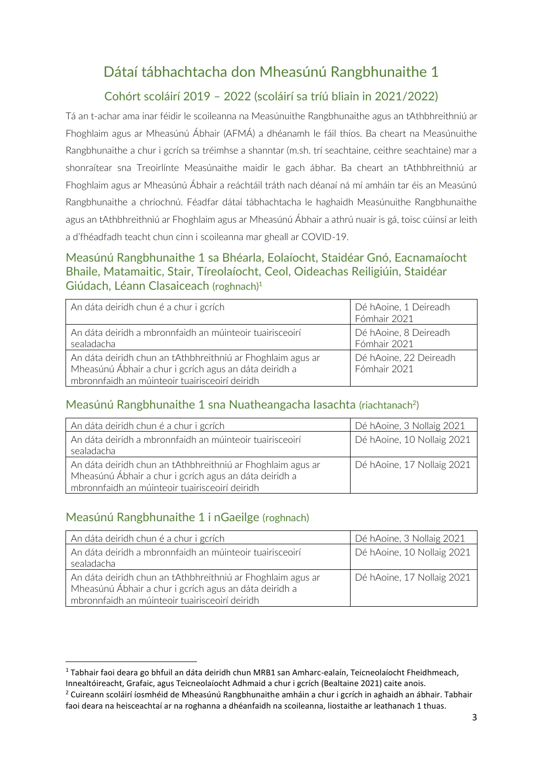# Dátaí tábhachtacha don Mheasúnú Rangbhunaithe 1

### Cohórt scoláirí 2019 – 2022 (scoláirí sa tríú bliain in 2021/2022)

Tá an t-achar ama inar féidir le scoileanna na Measúnuithe Rangbhunaithe agus an tAthbhreithniú ar Fhoghlaim agus ar Mheasúnú Ábhair (AFMÁ) a dhéanamh le fáil thíos. Ba cheart na Measúnuithe Rangbhunaithe a chur i gcrích sa tréimhse a shanntar (m.sh. trí seachtaine, ceithre seachtaine) mar a shonraítear sna Treoirlínte Measúnaithe maidir le gach ábhar. Ba cheart an tAthbhreithniú ar Fhoghlaim agus ar Mheasúnú Ábhair a reáchtáil tráth nach déanaí ná mí amháin tar éis an Measúnú Rangbhunaithe a chríochnú. Féadfar dátaí tábhachtacha le haghaidh Measúnuithe Rangbhunaithe agus an tAthbhreithniú ar Fhoghlaim agus ar Mheasúnú Ábhair a athrú nuair is gá, toisc cúinsí ar leith a d'fhéadfadh teacht chun cinn i scoileanna mar gheall ar COVID-19.

#### Measúnú Rangbhunaithe 1 sa Bhéarla, Eolaíocht, Staidéar Gnó, Eacnamaíocht Bhaile, Matamaitic, Stair, Tíreolaíocht, Ceol, Oideachas Reiligiúin, Staidéar Giúdach, Léann Clasaiceach (roghnach)<sup>1</sup>

| An dáta deiridh chun é a chur i gcrích                                                                                                                                  | Dé hAoine, 1 Deireadh<br>Fómhair 2021  |
|-------------------------------------------------------------------------------------------------------------------------------------------------------------------------|----------------------------------------|
| An dáta deiridh a mbronnfaidh an múinteoir tuairisceoirí<br>sealadacha                                                                                                  | Dé hAoine, 8 Deireadh<br>Fómhair 2021  |
| An dáta deiridh chun an tAthbhreithniú ar Fhoghlaim agus ar<br>Mheasúnú Ábhair a chur i gcrích agus an dáta deiridh a<br>mbronnfaidh an múinteoir tuairisceoirí deiridh | Dé hAoine, 22 Deireadh<br>Fómhair 2021 |

#### Measúnú Rangbhunaithe 1 sna Nuatheangacha lasachta (riachtanach<sup>2</sup>)

| An dáta deiridh chun é a chur i gcrích                      | Dé hAoine, 3 Nollaig 2021  |
|-------------------------------------------------------------|----------------------------|
| An dáta deiridh a mbronnfaidh an múinteoir tuairisceoirí    | Dé hAoine, 10 Nollaig 2021 |
| sealadacha                                                  |                            |
| An dáta deiridh chun an tAthbhreithniú ar Fhoghlaim agus ar | Dé hAoine, 17 Nollaig 2021 |
| Mheasúnú Ábhair a chur i gcrích agus an dáta deiridh a      |                            |
| mbronnfaidh an múinteoir tuairisceoirí deiridh              |                            |

#### Measúnú Rangbhunaithe 1 i nGaeilge (roghnach)

| An dáta deiridh chun é a chur i gcrích                                                                                | Dé hAoine, 3 Nollaig 2021  |
|-----------------------------------------------------------------------------------------------------------------------|----------------------------|
| An dáta deiridh a mbronnfaidh an múinteoir tuairisceoirí                                                              | Dé hAoine, 10 Nollaig 2021 |
| sealadacha                                                                                                            |                            |
| An dáta deiridh chun an tAthbhreithniú ar Fhoghlaim agus ar<br>Mheasúnú Ábhair a chur i gcrích agus an dáta deiridh a | Dé hAoine, 17 Nollaig 2021 |
| mbronnfaidh an múinteoir tuairisceoirí deiridh                                                                        |                            |

<sup>1</sup> Tabhair faoi deara go bhfuil an dáta deiridh chun MRB1 san Amharc-ealaín, Teicneolaíocht Fheidhmeach, Innealtóireacht, Grafaic, agus Teicneolaíocht Adhmaid a chur i gcrích (Bealtaine 2021) caite anois.

<sup>&</sup>lt;sup>2</sup> Cuireann scoláirí íosmhéid de Mheasúnú Rangbhunaithe amháin a chur i gcrích in aghaidh an ábhair. Tabhair faoi deara na heisceachtaí ar na roghanna a dhéanfaidh na scoileanna, liostaithe ar leathanach 1 thuas.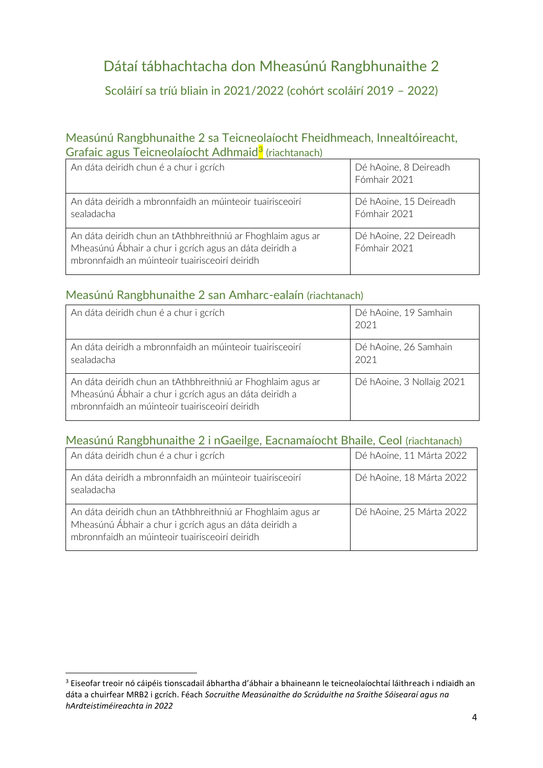# Dátaí tábhachtacha don Mheasúnú Rangbhunaithe 2

Scoláirí sa tríú bliain in 2021/2022 (cohórt scoláirí 2019 – 2022)

#### Measúnú Rangbhunaithe 2 sa Teicneolaíocht Fheidhmeach, Innealtóireacht, Grafaic agus Teicneolaíocht Adhmaid<sup>3</sup> (riachtanach)

| An dáta deiridh chun é a chur i gcrích                                                                                                                                  | Dé hAoine, 8 Deireadh<br>Fómhair 2021  |
|-------------------------------------------------------------------------------------------------------------------------------------------------------------------------|----------------------------------------|
| An dáta deiridh a mbronnfaidh an múinteoir tuairisceoirí<br>sealadacha                                                                                                  | Dé hAoine, 15 Deireadh<br>Fómhair 2021 |
| An dáta deiridh chun an tAthbhreithniú ar Fhoghlaim agus ar<br>Mheasúnú Ábhair a chur i gcrích agus an dáta deiridh a<br>mbronnfaidh an múinteoir tuairisceoirí deiridh | Dé hAoine, 22 Deireadh<br>Fómhair 2021 |

### Measúnú Rangbhunaithe 2 san Amharc-ealaín (riachtanach)

| An dáta deiridh chun é a chur i gcrích                                                                                                                                  | Dé hAoine, 19 Samhain<br>2021 |
|-------------------------------------------------------------------------------------------------------------------------------------------------------------------------|-------------------------------|
| An dáta deiridh a mbronnfaidh an múinteoir tuairisceoirí<br>sealadacha                                                                                                  | Dé hAoine, 26 Samhain<br>2021 |
| An dáta deiridh chun an tAthbhreithniú ar Fhoghlaim agus ar<br>Mheasúnú Ábhair a chur i gcrích agus an dáta deiridh a<br>mbronnfaidh an múinteoir tuairisceoirí deiridh | Dé hAoine, 3 Nollaig 2021     |

## Measúnú Rangbhunaithe 2 i nGaeilge, Eacnamaíocht Bhaile, Ceol (riachtanach)

| An dáta deiridh chun é a chur i gcrích                                                                                                                                  | Dé hAoine, 11 Márta 2022 |
|-------------------------------------------------------------------------------------------------------------------------------------------------------------------------|--------------------------|
| An dáta deiridh a mbronnfaidh an múinteoir tuairisceoirí<br>sealadacha                                                                                                  | Dé hAoine, 18 Márta 2022 |
| An dáta deiridh chun an tAthbhreithniú ar Fhoghlaim agus ar<br>Mheasúnú Ábhair a chur i gcrích agus an dáta deiridh a<br>mbronnfaidh an múinteoir tuairisceoirí deiridh | Dé hAoine, 25 Márta 2022 |

<sup>3</sup> Eiseofar treoir nó cáipéis tionscadail ábhartha d'ábhair a bhaineann le teicneolaíochtaí láithreach i ndiaidh an dáta a chuirfear MRB2 i gcrích. Féach *Socruithe Measúnaithe do Scrúduithe na Sraithe Sóisearaí agus na hArdteistiméireachta in 2022*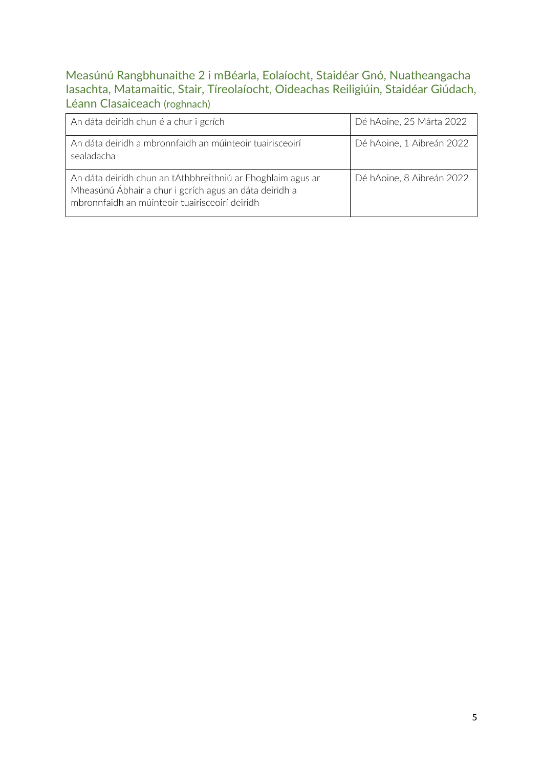### Measúnú Rangbhunaithe 2 i mBéarla, Eolaíocht, Staidéar Gnó, Nuatheangacha Iasachta, Matamaitic, Stair, Tíreolaíocht, Oideachas Reiligiúin, Staidéar Giúdach, Léann Clasaiceach (roghnach)

| An dáta deiridh chun é a chur i gcrích                                                                                                                                  | Dé hAoine, 25 Márta 2022  |
|-------------------------------------------------------------------------------------------------------------------------------------------------------------------------|---------------------------|
| An dáta deiridh a mbronnfaidh an múinteoir tuairisceoirí<br>sealadacha                                                                                                  | Dé hAoine, 1 Aibreán 2022 |
| An dáta deiridh chun an tAthbhreithniú ar Fhoghlaim agus ar<br>Mheasúnú Ábhair a chur i gcrích agus an dáta deiridh a<br>mbronnfaidh an múinteoir tuairisceoirí deiridh | Dé hAoine, 8 Aibreán 2022 |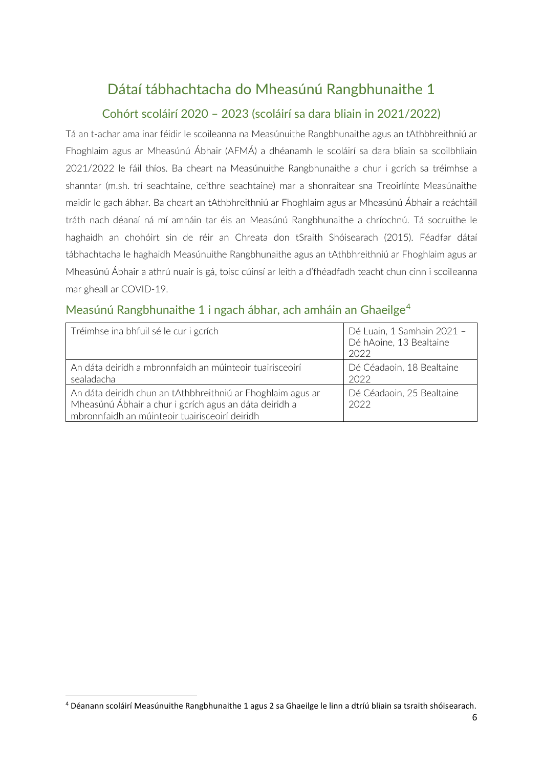## Dátaí tábhachtacha do Mheasúnú Rangbhunaithe 1

### Cohórt scoláirí 2020 – 2023 (scoláirí sa dara bliain in 2021/2022)

Tá an t-achar ama inar féidir le scoileanna na Measúnuithe Rangbhunaithe agus an tAthbhreithniú ar Fhoghlaim agus ar Mheasúnú Ábhair (AFMÁ) a dhéanamh le scoláirí sa dara bliain sa scoilbhliain 2021/2022 le fáil thíos. Ba cheart na Measúnuithe Rangbhunaithe a chur i gcrích sa tréimhse a shanntar (m.sh. trí seachtaine, ceithre seachtaine) mar a shonraítear sna Treoirlínte Measúnaithe maidir le gach ábhar. Ba cheart an tAthbhreithniú ar Fhoghlaim agus ar Mheasúnú Ábhair a reáchtáil tráth nach déanaí ná mí amháin tar éis an Measúnú Rangbhunaithe a chríochnú. Tá socruithe le haghaidh an chohóirt sin de réir an Chreata don tSraith Shóisearach (2015). Féadfar dátaí tábhachtacha le haghaidh Measúnuithe Rangbhunaithe agus an tAthbhreithniú ar Fhoghlaim agus ar Mheasúnú Ábhair a athrú nuair is gá, toisc cúinsí ar leith a d'fhéadfadh teacht chun cinn i scoileanna mar gheall ar COVID-19.

#### Measúnú Rangbhunaithe 1 i ngach ábhar, ach amháin an Ghaeilge<sup>4</sup>

| Tréimhse ina bhfuil sé le cur i gcrích                                                                                                                                  | Dé Luain, 1 Samhain 2021 -<br>Dé hAoine, 13 Bealtaine<br>2022 |
|-------------------------------------------------------------------------------------------------------------------------------------------------------------------------|---------------------------------------------------------------|
| An dáta deiridh a mbronnfaidh an múinteoir tuairisceoirí<br>sealadacha                                                                                                  | Dé Céadaoin, 18 Bealtaine<br>2022                             |
| An dáta deiridh chun an tAthbhreithniú ar Fhoghlaim agus ar<br>Mheasúnú Ábhair a chur i gcrích agus an dáta deiridh a<br>mbronnfaidh an múinteoir tuairisceoirí deiridh | Dé Céadaoin, 25 Bealtaine<br>2022                             |

<sup>4</sup> Déanann scoláirí Measúnuithe Rangbhunaithe 1 agus 2 sa Ghaeilge le linn a dtríú bliain sa tsraith shóisearach.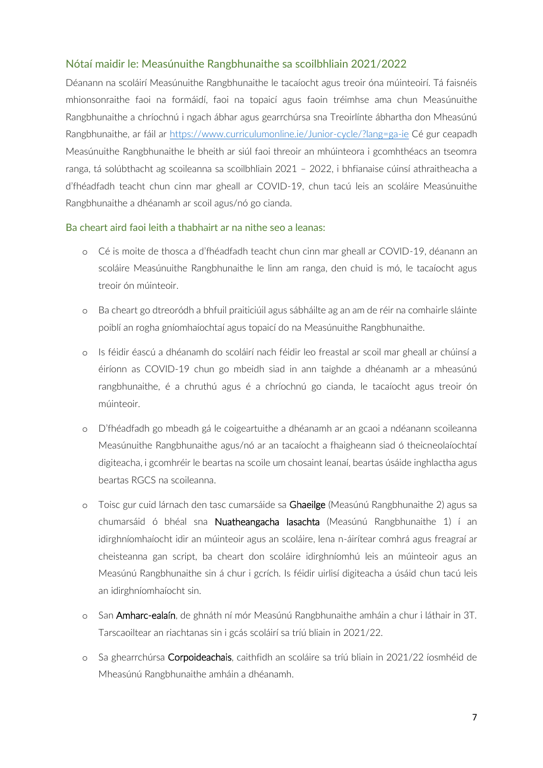#### Nótaí maidir le: Measúnuithe Rangbhunaithe sa scoilbhliain 2021/2022

Déanann na scoláirí Measúnuithe Rangbhunaithe le tacaíocht agus treoir óna múinteoirí. Tá faisnéis mhionsonraithe faoi na formáidí, faoi na topaicí agus faoin tréimhse ama chun Measúnuithe Rangbhunaithe a chríochnú i ngach ábhar agus gearrchúrsa sna Treoirlínte ábhartha don Mheasúnú Rangbhunaithe, ar fáil ar [https://www.curriculumonline.ie/Junior-cycle/?lang=ga-ie](http://www.curriculumonline.ie/Junior-cycle) Cé gur ceapadh Measúnuithe Rangbhunaithe le bheith ar siúl faoi threoir an mhúinteora i gcomhthéacs an tseomra ranga, tá solúbthacht ag scoileanna sa scoilbhliain 2021 – 2022, i bhfianaise cúinsí athraitheacha a d'fhéadfadh teacht chun cinn mar gheall ar COVID-19, chun tacú leis an scoláire Measúnuithe Rangbhunaithe a dhéanamh ar scoil agus/nó go cianda.

#### Ba cheart aird faoi leith a thabhairt ar na nithe seo a leanas:

- o Cé is moite de thosca a d'fhéadfadh teacht chun cinn mar gheall ar COVID-19, déanann an scoláire Measúnuithe Rangbhunaithe le linn am ranga, den chuid is mó, le tacaíocht agus treoir ón múinteoir.
- o Ba cheart go dtreoródh a bhfuil praiticiúil agus sábháilte ag an am de réir na comhairle sláinte poiblí an rogha gníomhaíochtaí agus topaicí do na Measúnuithe Rangbhunaithe.
- o Is féidir éascú a dhéanamh do scoláirí nach féidir leo freastal ar scoil mar gheall ar chúinsí a éiríonn as COVID-19 chun go mbeidh siad in ann taighde a dhéanamh ar a mheasúnú rangbhunaithe, é a chruthú agus é a chríochnú go cianda, le tacaíocht agus treoir ón múinteoir.
- o D'fhéadfadh go mbeadh gá le coigeartuithe a dhéanamh ar an gcaoi a ndéanann scoileanna Measúnuithe Rangbhunaithe agus/nó ar an tacaíocht a fhaigheann siad ó theicneolaíochtaí digiteacha, i gcomhréir le beartas na scoile um chosaint leanaí, beartas úsáide inghlactha agus beartas RGCS na scoileanna.
- o Toisc gur cuid lárnach den tasc cumarsáide sa Ghaeilge (Measúnú Rangbhunaithe 2) agus sa chumarsáid ó bhéal sna Nuatheangacha Iasachta (Measúnú Rangbhunaithe 1) í an idirghníomhaíocht idir an múinteoir agus an scoláire, lena n-áirítear comhrá agus freagraí ar cheisteanna gan script, ba cheart don scoláire idirghníomhú leis an múinteoir agus an Measúnú Rangbhunaithe sin á chur i gcrích. Is féidir uirlisí digiteacha a úsáid chun tacú leis an idirghníomhaíocht sin.
- o San Amharc-ealaín, de ghnáth ní mór Measúnú Rangbhunaithe amháin a chur i láthair in 3T. Tarscaoiltear an riachtanas sin i gcás scoláirí sa tríú bliain in 2021/22.
- Sa ghearrchúrsa Corpoideachais, caithfidh an scoláire sa tríú bliain in 2021/22 íosmhéid de Mheasúnú Rangbhunaithe amháin a dhéanamh.